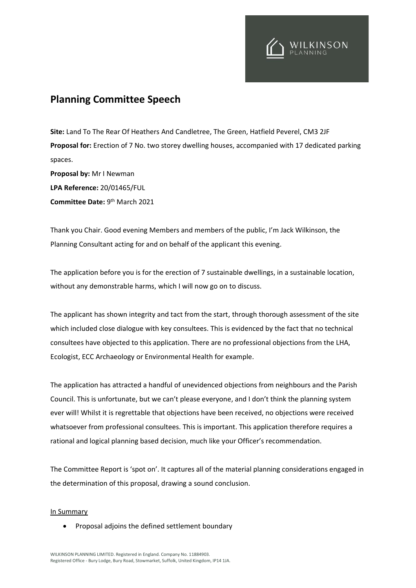

## **Planning Committee Speech**

**Site:** Land To The Rear Of Heathers And Candletree, The Green, Hatfield Peverel, CM3 2JF **Proposal for:** Erection of 7 No. two storey dwelling houses, accompanied with 17 dedicated parking spaces. **Proposal by:** Mr I Newman **LPA Reference:** 20/01465/FUL **Committee Date: 9th March 2021** 

Thank you Chair. Good evening Members and members of the public, I'm Jack Wilkinson, the Planning Consultant acting for and on behalf of the applicant this evening.

The application before you is for the erection of 7 sustainable dwellings, in a sustainable location, without any demonstrable harms, which I will now go on to discuss.

The applicant has shown integrity and tact from the start, through thorough assessment of the site which included close dialogue with key consultees. This is evidenced by the fact that no technical consultees have objected to this application. There are no professional objections from the LHA, Ecologist, ECC Archaeology or Environmental Health for example.

The application has attracted a handful of unevidenced objections from neighbours and the Parish Council. This is unfortunate, but we can't please everyone, and I don't think the planning system ever will! Whilst it is regrettable that objections have been received, no objections were received whatsoever from professional consultees. This is important. This application therefore requires a rational and logical planning based decision, much like your Officer's recommendation.

The Committee Report is 'spot on'. It captures all of the material planning considerations engaged in the determination of this proposal, drawing a sound conclusion.

## In Summary

• Proposal adjoins the defined settlement boundary